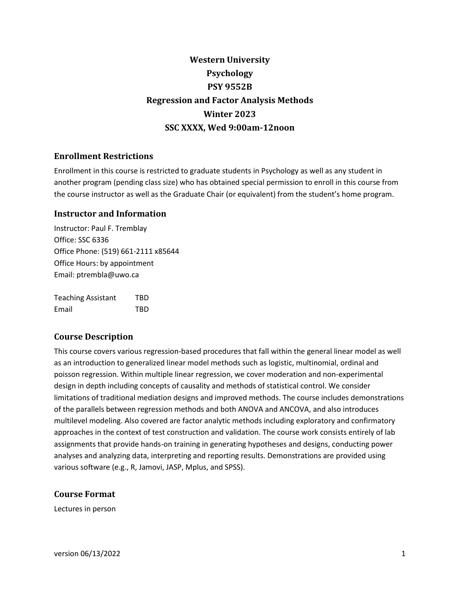# **Western University Psychology PSY 9552B Regression and Factor Analysis Methods Winter 2023 SSC XXXX, Wed 9:00am-12noon**

# **Enrollment Restrictions**

Enrollment in this course is restricted to graduate students in Psychology as well as any student in another program (pending class size) who has obtained special permission to enroll in this course from the course instructor as well as the Graduate Chair (or equivalent) from the student's home program.

# **Instructor and Information**

Instructor: Paul F. Tremblay Office: SSC 6336 Office Phone: (519) 661-2111 x85644 Office Hours: by appointment Email: ptrembla@uwo.ca

| <b>Teaching Assistant</b> | TBD |
|---------------------------|-----|
| Email                     | TBD |

# **Course Description**

This course covers various regression-based procedures that fall within the general linear model as well as an introduction to generalized linear model methods such as logistic, multinomial, ordinal and poisson regression. Within multiple linear regression, we cover moderation and non-experimental design in depth including concepts of causality and methods of statistical control. We consider limitations of traditional mediation designs and improved methods. The course includes demonstrations of the parallels between regression methods and both ANOVA and ANCOVA, and also introduces multilevel modeling. Also covered are factor analytic methods including exploratory and confirmatory approaches in the context of test construction and validation. The course work consists entirely of lab assignments that provide hands-on training in generating hypotheses and designs, conducting power analyses and analyzing data, interpreting and reporting results. Demonstrations are provided using various software (e.g., R, Jamovi, JASP, Mplus, and SPSS).

# **Course Format**

Lectures in person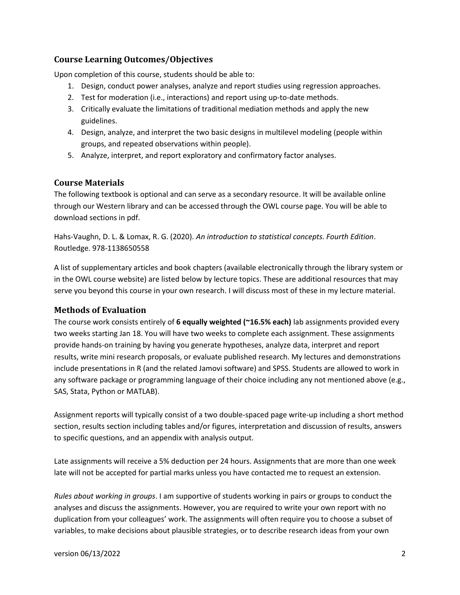# **Course Learning Outcomes/Objectives**

Upon completion of this course, students should be able to:

- 1. Design, conduct power analyses, analyze and report studies using regression approaches.
- 2. Test for moderation (i.e., interactions) and report using up-to-date methods.
- 3. Critically evaluate the limitations of traditional mediation methods and apply the new guidelines.
- 4. Design, analyze, and interpret the two basic designs in multilevel modeling (people within groups, and repeated observations within people).
- 5. Analyze, interpret, and report exploratory and confirmatory factor analyses.

# **Course Materials**

The following textbook is optional and can serve as a secondary resource. It will be available online through our Western library and can be accessed through the OWL course page. You will be able to download sections in pdf.

Hahs-Vaughn, D. L. & Lomax, R. G. (2020). *An introduction to statistical concepts. Fourth Edition*. Routledge. 978-1138650558

A list of supplementary articles and book chapters (available electronically through the library system or in the OWL course website) are listed below by lecture topics. These are additional resources that may serve you beyond this course in your own research. I will discuss most of these in my lecture material.

## **Methods of Evaluation**

The course work consists entirely of **6 equally weighted (~16.5% each)** lab assignments provided every two weeks starting Jan 18. You will have two weeks to complete each assignment. These assignments provide hands-on training by having you generate hypotheses, analyze data, interpret and report results, write mini research proposals, or evaluate published research. My lectures and demonstrations include presentations in R (and the related Jamovi software) and SPSS. Students are allowed to work in any software package or programming language of their choice including any not mentioned above (e.g., SAS, Stata, Python or MATLAB).

Assignment reports will typically consist of a two double-spaced page write-up including a short method section, results section including tables and/or figures, interpretation and discussion of results, answers to specific questions, and an appendix with analysis output.

Late assignments will receive a 5% deduction per 24 hours. Assignments that are more than one week late will not be accepted for partial marks unless you have contacted me to request an extension.

*Rules about working in groups*. I am supportive of students working in pairs or groups to conduct the analyses and discuss the assignments. However, you are required to write your own report with no duplication from your colleagues' work. The assignments will often require you to choose a subset of variables, to make decisions about plausible strategies, or to describe research ideas from your own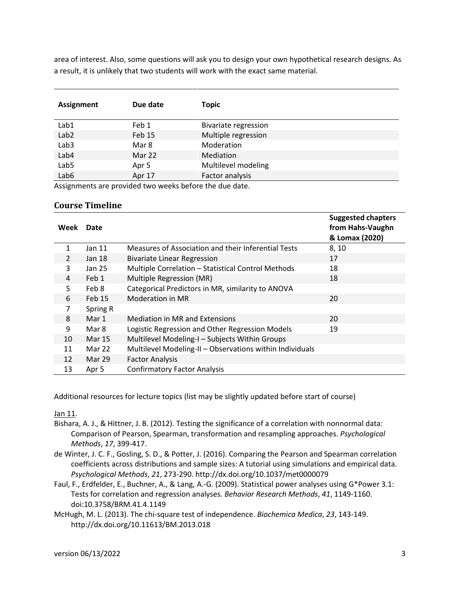area of interest. Also, some questions will ask you to design your own hypothetical research designs. As a result, it is unlikely that two students will work with the exact same material.

| <b>Assignment</b> | Due date | <b>Topic</b>                |
|-------------------|----------|-----------------------------|
| Lab1              | Feb 1    | <b>Bivariate regression</b> |
| Lab <sub>2</sub>  | Feb 15   | Multiple regression         |
| Lab <sub>3</sub>  | Mar 8    | Moderation                  |
| Lab4              | Mar 22   | Mediation                   |
| Lab <sub>5</sub>  | Apr 5    | Multilevel modeling         |
| Lab6              | Apr 17   | Factor analysis             |

Assignments are provided two weeks before the due date.

#### **Course Timeline**

| Week           | Date          |                                                          | <b>Suggested chapters</b><br>from Hahs-Vaughn<br>& Lomax (2020) |
|----------------|---------------|----------------------------------------------------------|-----------------------------------------------------------------|
| 1              | Jan 11        | Measures of Association and their Inferential Tests      | 8, 10                                                           |
| $\overline{2}$ | Jan 18        | <b>Bivariate Linear Regression</b>                       | 17                                                              |
| 3              | Jan 25        | Multiple Correlation - Statistical Control Methods       | 18                                                              |
| 4              | Feb 1         | Multiple Regression (MR)                                 | 18                                                              |
| 5              | Feb 8         | Categorical Predictors in MR, similarity to ANOVA        |                                                                 |
| 6              | Feb 15        | Moderation in MR                                         | 20                                                              |
| 7              | Spring R      |                                                          |                                                                 |
| 8              | Mar 1         | <b>Mediation in MR and Extensions</b>                    | 20                                                              |
| 9              | Mar 8         | Logistic Regression and Other Regression Models          | 19                                                              |
| 10             | <b>Mar 15</b> | Multilevel Modeling-I - Subjects Within Groups           |                                                                 |
| 11             | Mar 22        | Multilevel Modeling-II - Observations within Individuals |                                                                 |
| 12             | Mar 29        | <b>Factor Analysis</b>                                   |                                                                 |
| 13             | Apr 5         | <b>Confirmatory Factor Analysis</b>                      |                                                                 |

Additional resources for lecture topics (list may be slightly updated before start of course)

Jan 11.

- Bishara, A. J., & Hittner, J. B. (2012). Testing the significance of a correlation with nonnormal data: Comparison of Pearson, Spearman, transformation and resampling approaches. *Psychological Methods*, *17*, 399-417.
- de Winter, J. C. F., Gosling, S. D., & Potter, J. (2016). Comparing the Pearson and Spearman correlation coefficients across distributions and sample sizes: A tutorial using simulations and empirical data. *Psychological Methods*, *21*, 273-290. http://dx.doi.org/10.1037/met0000079
- Faul, F., Erdfelder, E., Buchner, A., & Lang, A.-G. (2009). Statistical power analyses using G\*Power 3.1: Tests for correlation and regression analyses. *Behavior Research Methods*, *41*, 1149-1160. doi:10.3758/BRM.41.4.1149
- McHugh, M. L. (2013). The chi-square test of independence. *Biochemica Medica*, *23*, 143-149. http://dx.doi.org/10.11613/BM.2013.018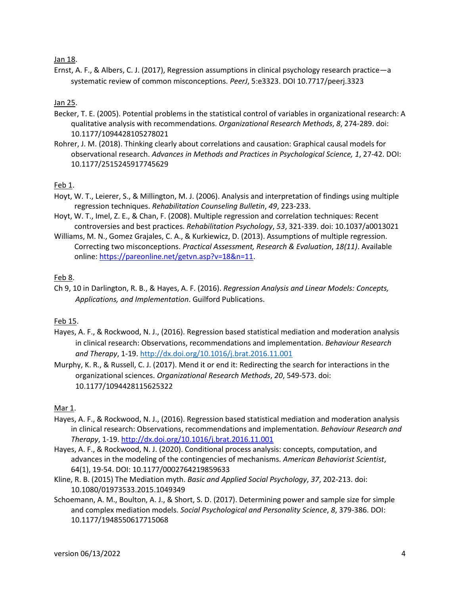#### Jan 18.

Ernst, A. F., & Albers, C. J. (2017), Regression assumptions in clinical psychology research practice—a systematic review of common misconceptions. *PeerJ*, 5:e3323. DOI 10.7717/peerj.3323

#### Jan 25.

- Becker, T. E. (2005). Potential problems in the statistical control of variables in organizational research: A qualitative analysis with recommendations. *Organizational Research Methods*, *8*, 274-289. doi: 10.1177/1094428105278021
- Rohrer, J. M. (2018). Thinking clearly about correlations and causation: Graphical causal models for observational research. *Advances in Methods and Practices in Psychological Science, 1*, 27-42. DOI: 10.1177/2515245917745629

#### Feb 1.

- Hoyt, W. T., Leierer, S., & Millington, M. J. (2006). Analysis and interpretation of findings using multiple regression techniques. *Rehabilitation Counseling Bulletin*, *49*, 223-233.
- Hoyt, W. T., Imel, Z. E., & Chan, F. (2008). Multiple regression and correlation techniques: Recent controversies and best practices. *Rehabilitation Psychology*, *53*, 321-339. doi: 10.1037/a0013021
- Williams, M. N., Gomez Grajales, C. A., & Kurkiewicz, D. (2013). Assumptions of multiple regression. Correcting two misconceptions. *Practical Assessment, Research & Evaluation*, *18(11)*. Available online: [https://pareonline.net/getvn.asp?v=18&n=11.](https://pareonline.net/getvn.asp?v=18&n=11)

#### Feb 8.

Ch 9, 10 in Darlington, R. B., & Hayes, A. F. (2016). *Regression Analysis and Linear Models: Concepts, Applications, and Implementation*. Guilford Publications.

#### Feb 15.

- Hayes, A. F., & Rockwood, N. J., (2016). Regression based statistical mediation and moderation analysis in clinical research: Observations, recommendations and implementation. *Behaviour Research and Therapy*, 1-19[. http://dx.doi.org/10.1016/j.brat.2016.11.001](http://dx.doi.org/10.1016/j.brat.2016.11.001)
- Murphy, K. R., & Russell, C. J. (2017). Mend it or end it: Redirecting the search for interactions in the organizational sciences. *Organizational Research Methods*, *20*, 549-573. doi: 10.1177/1094428115625322

#### Mar 1.

- Hayes, A. F., & Rockwood, N. J., (2016). Regression based statistical mediation and moderation analysis in clinical research: Observations, recommendations and implementation. *Behaviour Research and Therapy*, 1-19[. http://dx.doi.org/10.1016/j.brat.2016.11.001](http://dx.doi.org/10.1016/j.brat.2016.11.001)
- Hayes, A. F., & Rockwood, N. J. (2020). Conditional process analysis: concepts, computation, and advances in the modeling of the contingencies of mechanisms. *American Behaviorist Scientist*, 64(1), 19-54. DOI: 10.1177/0002764219859633
- Kline, R. B. (2015) The Mediation myth. *Basic and Applied Social Psychology*, *37*, 202-213. doi: 10.1080/01973533.2015.1049349
- Schoemann, A. M., Boulton, A. J., & Short, S. D. (2017). Determining power and sample size for simple and complex mediation models. *Social Psychological and Personality Science*, *8*, 379-386. DOI: 10.1177/1948550617715068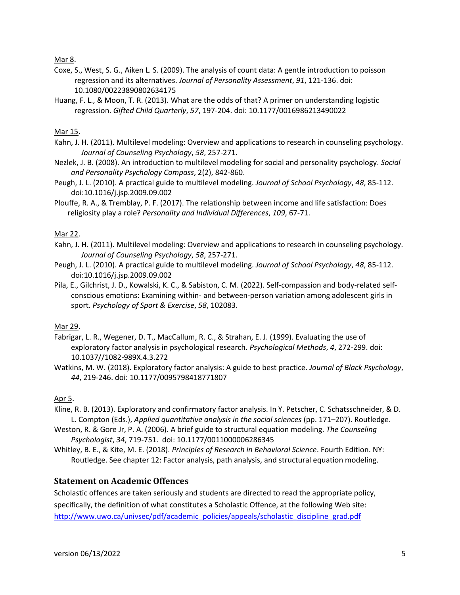Mar 8.

- Coxe, S., West, S. G., Aiken L. S. (2009). The analysis of count data: A gentle introduction to poisson regression and its alternatives. *Journal of Personality Assessment*, *91*, 121-136. doi: 10.1080/00223890802634175
- Huang, F. L., & Moon, T. R. (2013). What are the odds of that? A primer on understanding logistic regression. *Gifted Child Quarterly*, *57*, 197-204. doi: 10.1177/0016986213490022

## Mar 15.

- Kahn, J. H. (2011). Multilevel modeling: Overview and applications to research in counseling psychology. *Journal of Counseling Psychology*, *58*, 257-271.
- Nezlek, J. B. (2008). An introduction to multilevel modeling for social and personality psychology. *Social and Personality Psychology Compass*, 2(2), 842-860.
- Peugh, J. L. (2010). A practical guide to multilevel modeling. *Journal of School Psychology*, *48*, 85-112. doi:10.1016/j.jsp.2009.09.002
- Plouffe, R. A., & Tremblay, P. F. (2017). The relationship between income and life satisfaction: Does religiosity play a role? *Personality and Individual Differences*, *109*, 67-71.

#### Mar 22.

- Kahn, J. H. (2011). Multilevel modeling: Overview and applications to research in counseling psychology. *Journal of Counseling Psychology*, *58*, 257-271.
- Peugh, J. L. (2010). A practical guide to multilevel modeling. *Journal of School Psychology*, *48*, 85-112. doi:10.1016/j.jsp.2009.09.002
- Pila, E., Gilchrist, J. D., Kowalski, K. C., & Sabiston, C. M. (2022). Self-compassion and body-related selfconscious emotions: Examining within- and between-person variation among adolescent girls in sport. *Psychology of Sport & Exercise*, *58*, 102083.

## Mar 29.

- Fabrigar, L. R., Wegener, D. T., MacCallum, R. C., & Strahan, E. J. (1999). Evaluating the use of exploratory factor analysis in psychological research. *Psychological Methods*, *4*, 272-299. doi: 10.1037//1082-989X.4.3.272
- Watkins, M. W. (2018). Exploratory factor analysis: A guide to best practice. *Journal of Black Psychology*, *44*, 219-246. doi: 10.1177/0095798418771807

## Apr 5.

- Kline, R. B. (2013). Exploratory and confirmatory factor analysis. In Y. Petscher, C. Schatsschneider, & D. L. Compton (Eds.), *Applied quantitative analysis in the social sciences* (pp. 171–207). Routledge.
- Weston, R. & Gore Jr, P. A. (2006). A brief guide to structural equation modeling. *The Counseling Psychologist*, *34*, 719-751. doi: 10.1177/0011000006286345
- Whitley, B. E., & Kite, M. E. (2018). *Principles of Research in Behavioral Science*. Fourth Edition. NY: Routledge. See chapter 12: Factor analysis, path analysis, and structural equation modeling.

## **Statement on Academic Offences**

Scholastic offences are taken seriously and students are directed to read the appropriate policy, specifically, the definition of what constitutes a Scholastic Offence, at the following Web site: [http://www.uwo.ca/univsec/pdf/academic\\_policies/appeals/scholastic\\_discipline\\_grad.pdf](http://www.uwo.ca/univsec/pdf/academic_policies/appeals/scholastic_discipline_grad.pdf)